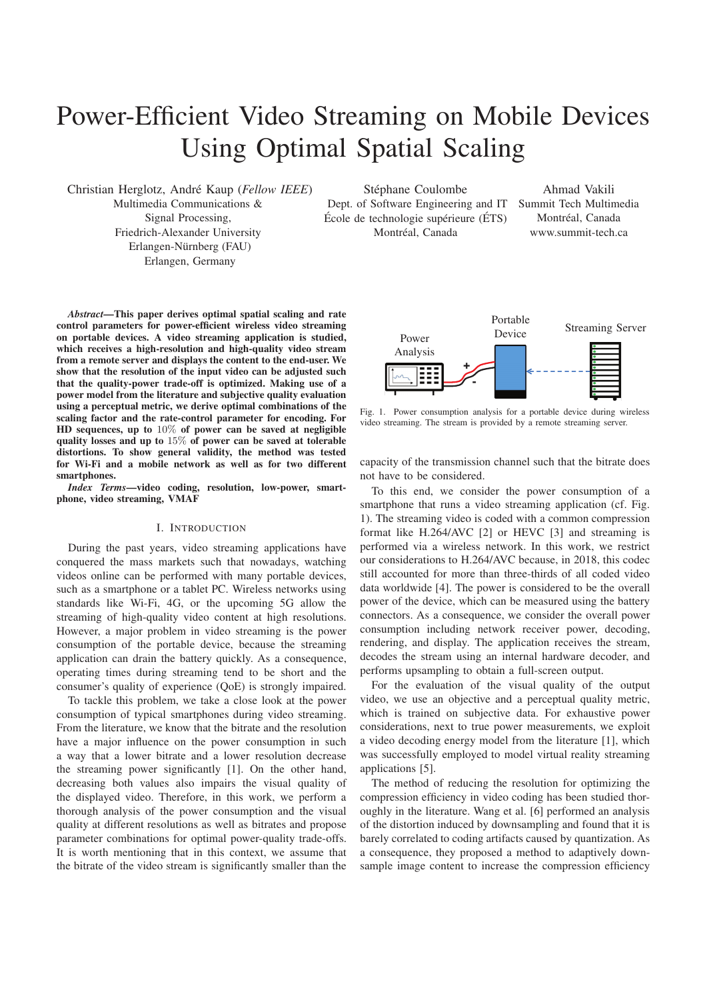# Power-Efficient Video Streaming on Mobile Devices Using Optimal Spatial Scaling

Christian Herglotz, Andr´e Kaup (*Fellow IEEE*) Multimedia Communications & Signal Processing, Friedrich-Alexander University Erlangen-Nürnberg (FAU) Erlangen, Germany

Stéphane Coulombe Dept. of Software Engineering and IT École de technologie supérieure (ÉTS) Montréal, Canada

Ahmad Vakili Summit Tech Multimedia Montréal, Canada www.summit-tech.ca

*Abstract*—This paper derives optimal spatial scaling and rate control parameters for power-efficient wireless video streaming on portable devices. A video streaming application is studied, which receives a high-resolution and high-quality video stream from a remote server and displays the content to the end-user. We show that the resolution of the input video can be adjusted such that the quality-power trade-off is optimized. Making use of a power model from the literature and subjective quality evaluation using a perceptual metric, we derive optimal combinations of the scaling factor and the rate-control parameter for encoding. For HD sequences, up to 10% of power can be saved at negligible quality losses and up to 15% of power can be saved at tolerable distortions. To show general validity, the method was tested for Wi-Fi and a mobile network as well as for two different smartphones.

*Index Terms*—video coding, resolution, low-power, smartphone, video streaming, VMAF

## I. INTRODUCTION

During the past years, video streaming applications have conquered the mass markets such that nowadays, watching videos online can be performed with many portable devices, such as a smartphone or a tablet PC. Wireless networks using standards like Wi-Fi, 4G, or the upcoming 5G allow the streaming of high-quality video content at high resolutions. However, a major problem in video streaming is the power consumption of the portable device, because the streaming application can drain the battery quickly. As a consequence, operating times during streaming tend to be short and the consumer's quality of experience (QoE) is strongly impaired.

To tackle this problem, we take a close look at the power consumption of typical smartphones during video streaming. From the literature, we know that the bitrate and the resolution have a major influence on the power consumption in such a way that a lower bitrate and a lower resolution decrease the streaming power significantly [1]. On the other hand, decreasing both values also impairs the visual quality of the displayed video. Therefore, in this work, we perform a thorough analysis of the power consumption and the visual quality at different resolutions as well as bitrates and propose parameter combinations for optimal power-quality trade-offs. It is worth mentioning that in this context, we assume that the bitrate of the video stream is significantly smaller than the



Fig. 1. Power consumption analysis for a portable device during wireless video streaming. The stream is provided by a remote streaming server.

capacity of the transmission channel such that the bitrate does not have to be considered.

To this end, we consider the power consumption of a smartphone that runs a video streaming application (cf. Fig. 1). The streaming video is coded with a common compression format like H.264/AVC [2] or HEVC [3] and streaming is performed via a wireless network. In this work, we restrict our considerations to H.264/AVC because, in 2018, this codec still accounted for more than three-thirds of all coded video data worldwide [4]. The power is considered to be the overall power of the device, which can be measured using the battery connectors. As a consequence, we consider the overall power consumption including network receiver power, decoding, rendering, and display. The application receives the stream, decodes the stream using an internal hardware decoder, and performs upsampling to obtain a full-screen output.

For the evaluation of the visual quality of the output video, we use an objective and a perceptual quality metric, which is trained on subjective data. For exhaustive power considerations, next to true power measurements, we exploit a video decoding energy model from the literature [1], which was successfully employed to model virtual reality streaming applications [5].

The method of reducing the resolution for optimizing the compression efficiency in video coding has been studied thoroughly in the literature. Wang et al. [6] performed an analysis of the distortion induced by downsampling and found that it is barely correlated to coding artifacts caused by quantization. As a consequence, they proposed a method to adaptively downsample image content to increase the compression efficiency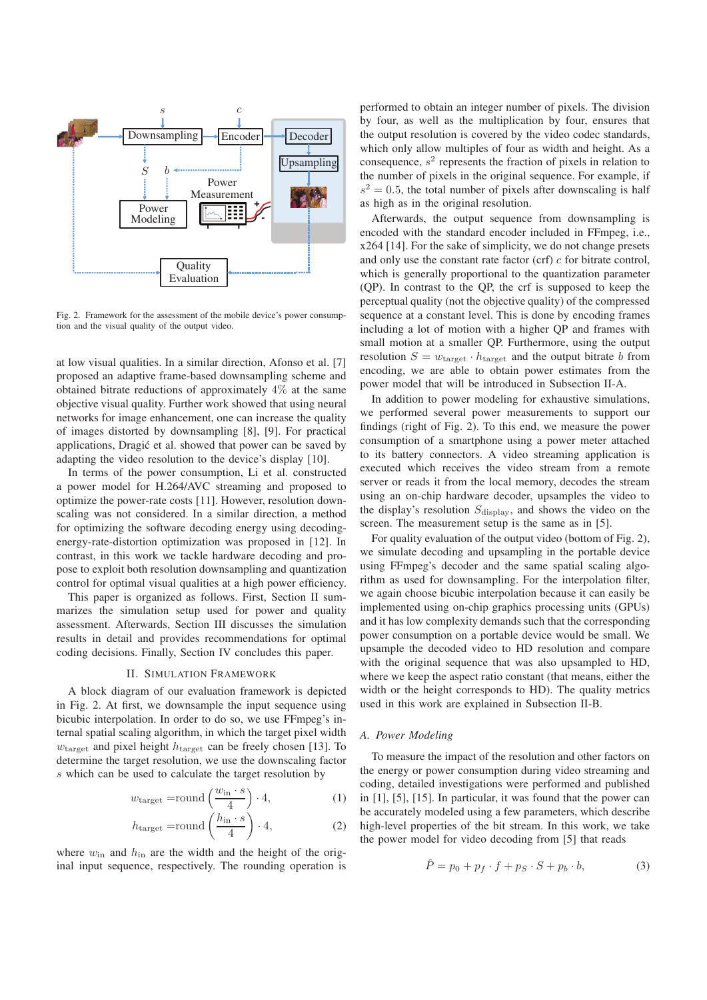

Fig. 2. Framework for the assessment of the mobile device's power consumption and the visual quality of the output video.

at low visual qualities. In a similar direction, Afonso et al. [7] proposed an adaptive frame-based downsampling scheme and obtained bitrate reductions of approximately  $4\%$  at the same objective visual quality. Further work showed that using neural networks for image enhancement, one can increase the quality of images distorted by downsampling [8], [9]. For practical applications, Dragić et al. showed that power can be saved by adapting the video resolution to the device's display [10].

In terms of the power consumption, Li et al. constructed a power model for H.264/AVC streaming and proposed to optimize the power-rate costs [11]. However, resolution downscaling was not considered. In a similar direction, a method for optimizing the software decoding energy using decodingenergy-rate-distortion optimization was proposed in [12]. In contrast, in this work we tackle hardware decoding and propose to exploit both resolution downsampling and quantization control for optimal visual qualities at a high power efficiency.

This paper is organized as follows. First, Section II summarizes the simulation setup used for power and quality assessment. Afterwards, Section III discusses the simulation results in detail and provides recommendations for optimal coding decisions. Finally, Section IV concludes this paper.

## II. SIMULATION FRAMEWORK

A block diagram of our evaluation framework is depicted in Fig. 2. At first, we downsample the input sequence using bicubic interpolation. In order to do so, we use FFmpeg's internal spatial scaling algorithm, in which the target pixel width  $w<sub>target</sub>$  and pixel height  $h<sub>target</sub>$  can be freely chosen [13]. To determine the target resolution, we use the downscaling factor s which can be used to calculate the target resolution by

$$
w_{\text{target}} = \text{round}\left(\frac{w_{\text{in}} \cdot s}{4}\right) \cdot 4,\tag{1}
$$

$$
h_{\text{target}} = \text{round}\left(\frac{h_{\text{in}} \cdot s}{4}\right) \cdot 4,\tag{2}
$$

where  $w_{\text{in}}$  and  $h_{\text{in}}$  are the width and the height of the original input sequence, respectively. The rounding operation is

performed to obtain an integer number of pixels. The division by four, as well as the multiplication by four, ensures that the output resolution is covered by the video codec standards, which only allow multiples of four as width and height. As a consequence,  $s<sup>2</sup>$  represents the fraction of pixels in relation to the number of pixels in the original sequence. For example, if  $s^2 = 0.5$ , the total number of pixels after downscaling is half as high as in the original resolution.

Afterwards, the output sequence from downsampling is encoded with the standard encoder included in FFmpeg, i.e., x264 [14]. For the sake of simplicity, we do not change presets and only use the constant rate factor (crf)  $c$  for bitrate control, which is generally proportional to the quantization parameter (QP). In contrast to the QP, the crf is supposed to keep the perceptual quality (not the objective quality) of the compressed sequence at a constant level. This is done by encoding frames including a lot of motion with a higher QP and frames with small motion at a smaller QP. Furthermore, using the output resolution  $S = w_{\text{target}} \cdot h_{\text{target}}$  and the output bitrate b from encoding, we are able to obtain power estimates from the power model that will be introduced in Subsection II-A.

In addition to power modeling for exhaustive simulations, we performed several power measurements to support our findings (right of Fig. 2). To this end, we measure the power consumption of a smartphone using a power meter attached to its battery connectors. A video streaming application is executed which receives the video stream from a remote server or reads it from the local memory, decodes the stream using an on-chip hardware decoder, upsamples the video to the display's resolution  $S_{\text{display}}$ , and shows the video on the screen. The measurement setup is the same as in [5].

For quality evaluation of the output video (bottom of Fig. 2), we simulate decoding and upsampling in the portable device using FFmpeg's decoder and the same spatial scaling algorithm as used for downsampling. For the interpolation filter, we again choose bicubic interpolation because it can easily be implemented using on-chip graphics processing units (GPUs) and it has low complexity demands such that the corresponding power consumption on a portable device would be small. We upsample the decoded video to HD resolution and compare with the original sequence that was also upsampled to HD, where we keep the aspect ratio constant (that means, either the width or the height corresponds to HD). The quality metrics used in this work are explained in Subsection II-B.

## *A. Power Modeling*

To measure the impact of the resolution and other factors on the energy or power consumption during video streaming and coding, detailed investigations were performed and published in [1], [5], [15]. In particular, it was found that the power can be accurately modeled using a few parameters, which describe high-level properties of the bit stream. In this work, we take the power model for video decoding from [5] that reads

$$
\hat{P} = p_0 + p_f \cdot f + p_S \cdot S + p_b \cdot b,\tag{3}
$$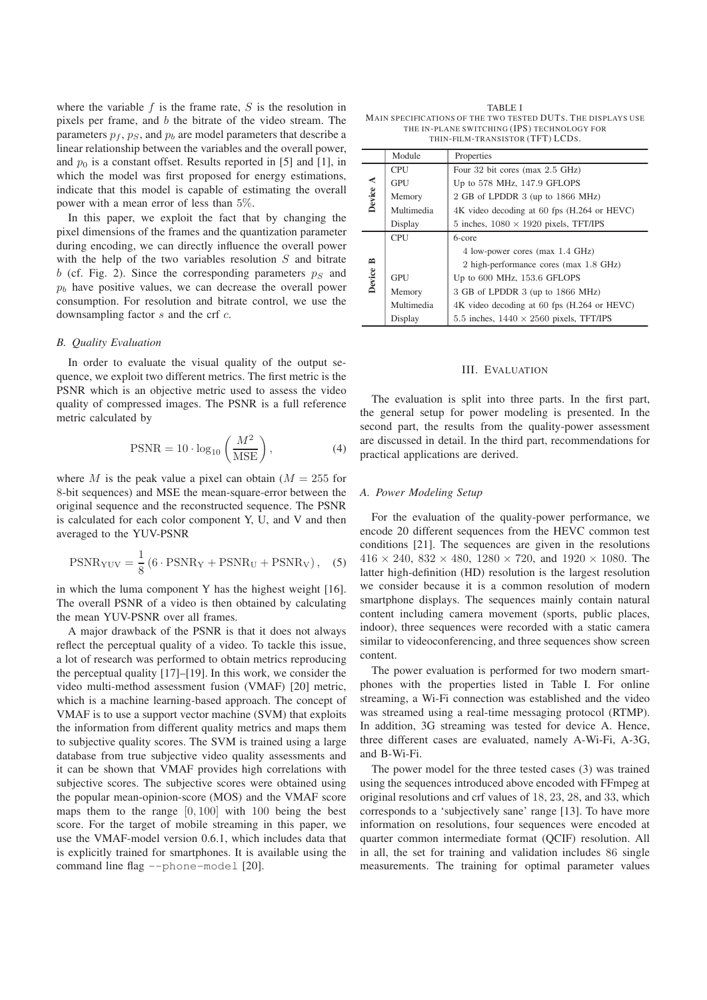where the variable  $f$  is the frame rate,  $S$  is the resolution in pixels per frame, and b the bitrate of the video stream. The parameters  $p_f$ ,  $p_S$ , and  $p_b$  are model parameters that describe a linear relationship between the variables and the overall power, and  $p_0$  is a constant offset. Results reported in [5] and [1], in which the model was first proposed for energy estimations, indicate that this model is capable of estimating the overall power with a mean error of less than 5%.

In this paper, we exploit the fact that by changing the pixel dimensions of the frames and the quantization parameter during encoding, we can directly influence the overall power with the help of the two variables resolution S and bitrate b (cf. Fig. 2). Since the corresponding parameters  $p<sub>S</sub>$  and  $p<sub>b</sub>$  have positive values, we can decrease the overall power consumption. For resolution and bitrate control, we use the downsampling factor s and the crf c.

## *B. Quality Evaluation*

In order to evaluate the visual quality of the output sequence, we exploit two different metrics. The first metric is the PSNR which is an objective metric used to assess the video quality of compressed images. The PSNR is a full reference metric calculated by

$$
PSNR = 10 \cdot \log_{10} \left( \frac{M^2}{MSE} \right),\tag{4}
$$

where M is the peak value a pixel can obtain  $(M = 255$  for 8-bit sequences) and MSE the mean-square-error between the original sequence and the reconstructed sequence. The PSNR is calculated for each color component Y, U, and V and then averaged to the YUV-PSNR

$$
PSNR_{\text{YUV}} = \frac{1}{8} \left( 6 \cdot \text{PSNR}_{\text{Y}} + \text{PSNR}_{\text{U}} + \text{PSNR}_{\text{V}} \right), \quad (5)
$$

in which the luma component Y has the highest weight [16]. The overall PSNR of a video is then obtained by calculating the mean YUV-PSNR over all frames.

A major drawback of the PSNR is that it does not always reflect the perceptual quality of a video. To tackle this issue, a lot of research was performed to obtain metrics reproducing the perceptual quality [17]–[19]. In this work, we consider the video multi-method assessment fusion (VMAF) [20] metric, which is a machine learning-based approach. The concept of VMAF is to use a support vector machine (SVM) that exploits the information from different quality metrics and maps them to subjective quality scores. The SVM is trained using a large database from true subjective video quality assessments and it can be shown that VMAF provides high correlations with subjective scores. The subjective scores were obtained using the popular mean-opinion-score (MOS) and the VMAF score maps them to the range  $[0, 100]$  with 100 being the best score. For the target of mobile streaming in this paper, we use the VMAF-model version 0.6.1, which includes data that is explicitly trained for smartphones. It is available using the command line flag --phone-model [20].

TABLE I MAIN SPECIFICATIONS OF THE TWO TESTED DUTS. THE DISPLAYS USE THE IN-PLANE SWITCHING (IPS) TECHNOLOGY FOR THIN-FILM-TRANSISTOR (TFT) LCDS.

|          | Module     | Properties                                     |  |  |  |
|----------|------------|------------------------------------------------|--|--|--|
|          | <b>CPU</b> | Four 32 bit cores (max 2.5 GHz)                |  |  |  |
|          | GPU        | Up to 578 MHz, 147.9 GFLOPS                    |  |  |  |
| Device A | Memory     | 2 GB of LPDDR 3 (up to 1866 MHz)               |  |  |  |
|          | Multimedia | 4K video decoding at 60 fps (H.264 or HEVC)    |  |  |  |
|          | Display    | 5 inches, $1080 \times 1920$ pixels, TFT/IPS   |  |  |  |
|          | <b>CPU</b> | 6-core                                         |  |  |  |
|          |            | 4 low-power cores (max 1.4 GHz)                |  |  |  |
| ≃        |            | 2 high-performance cores (max 1.8 GHz)         |  |  |  |
| Device   | GPU        | Up to 600 MHz, 153.6 GFLOPS                    |  |  |  |
|          | Memory     | 3 GB of LPDDR 3 (up to 1866 MHz)               |  |  |  |
|          | Multimedia | 4K video decoding at 60 fps (H.264 or HEVC)    |  |  |  |
|          | Display    | 5.5 inches, $1440 \times 2560$ pixels, TFT/IPS |  |  |  |

## III. EVALUATION

The evaluation is split into three parts. In the first part, the general setup for power modeling is presented. In the second part, the results from the quality-power assessment are discussed in detail. In the third part, recommendations for practical applications are derived.

### *A. Power Modeling Setup*

For the evaluation of the quality-power performance, we encode 20 different sequences from the HEVC common test conditions [21]. The sequences are given in the resolutions  $416 \times 240$ ,  $832 \times 480$ ,  $1280 \times 720$ , and  $1920 \times 1080$ . The latter high-definition (HD) resolution is the largest resolution we consider because it is a common resolution of modern smartphone displays. The sequences mainly contain natural content including camera movement (sports, public places, indoor), three sequences were recorded with a static camera similar to videoconferencing, and three sequences show screen content.

The power evaluation is performed for two modern smartphones with the properties listed in Table I. For online streaming, a Wi-Fi connection was established and the video was streamed using a real-time messaging protocol (RTMP). In addition, 3G streaming was tested for device A. Hence, three different cases are evaluated, namely A-Wi-Fi, A-3G, and B-Wi-Fi.

The power model for the three tested cases (3) was trained using the sequences introduced above encoded with FFmpeg at original resolutions and crf values of 18, 23, 28, and 33, which corresponds to a 'subjectively sane' range [13]. To have more information on resolutions, four sequences were encoded at quarter common intermediate format (QCIF) resolution. All in all, the set for training and validation includes 86 single measurements. The training for optimal parameter values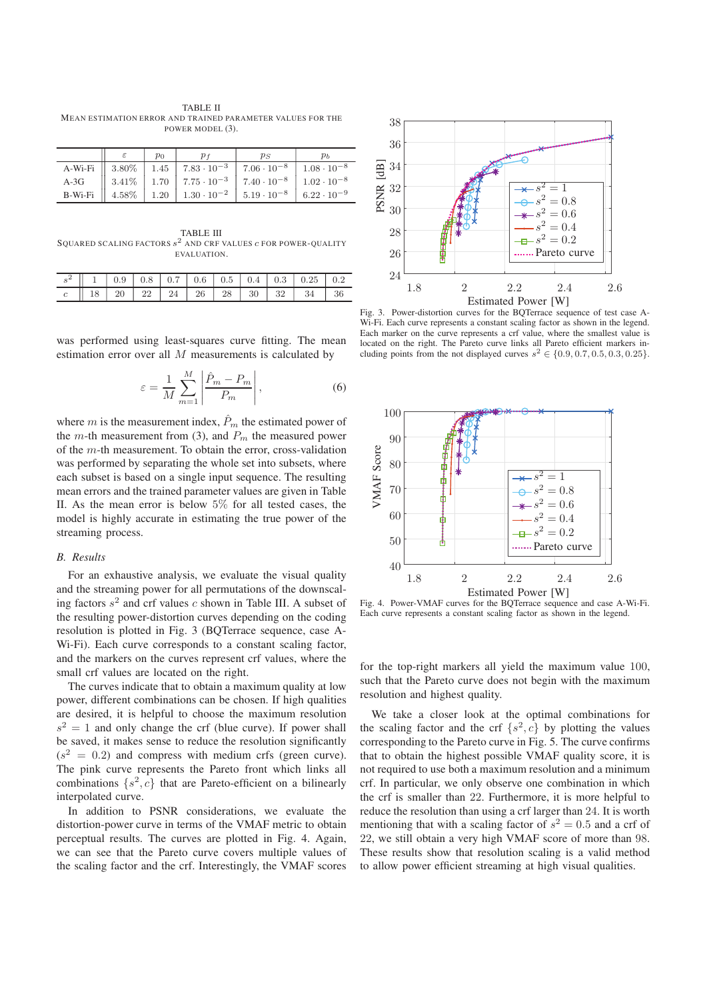TABLE II MEAN ESTIMATION ERROR AND TRAINED PARAMETER VALUES FOR THE POWER MODEL (3).

| $\overline{p}_0$ |  |                                                                                                                                                                        |  |
|------------------|--|------------------------------------------------------------------------------------------------------------------------------------------------------------------------|--|
|                  |  | A-Wi-Fi    $3.80\%$   $1.45$   $7.83 \cdot 10^{-3}$   $7.06 \cdot 10^{-8}$   $1.08 \cdot 10^{-8}$                                                                      |  |
|                  |  | A-3G $\parallel$ 3.41\% $\parallel$ 1.70 $\parallel$ 7.75 $\cdot$ 10 <sup>-3</sup> $\parallel$ 7.40 $\cdot$ 10 <sup>-8</sup> $\parallel$ 1.02 $\cdot$ 10 <sup>-8</sup> |  |
|                  |  | B-Wi-Fi $\parallel$ 4.58% 1.20 1.30 $\cdot 10^{-2}$ 5.19 $\cdot 10^{-8}$ 6.22 $\cdot 10^{-9}$                                                                          |  |

TABLE III SQUARED SCALING FACTORS  $s^2$  and CRF VALUES  $c$  FOR POWER-QUALITY EVALUATION.

|  |  |  |  | $\parallel$ 1   0.9   0.8   0.7   0.6   0.5   0.4   0.3   0.25   0.2 |  |
|--|--|--|--|----------------------------------------------------------------------|--|
|  |  |  |  | $\parallel$ 18   20   22   24   26   28   30   32   34   36          |  |

was performed using least-squares curve fitting. The mean estimation error over all M measurements is calculated by

$$
\varepsilon = \frac{1}{M} \sum_{m=1}^{M} \left| \frac{\hat{P}_m - P_m}{P_m} \right|,
$$
\n(6)

where m is the measurement index,  $\hat{P}_m$  the estimated power of the m-th measurement from (3), and  $P_m$  the measured power of the  $m$ -th measurement. To obtain the error, cross-validation was performed by separating the whole set into subsets, where each subset is based on a single input sequence. The resulting mean errors and the trained parameter values are given in Table II. As the mean error is below 5% for all tested cases, the model is highly accurate in estimating the true power of the streaming process.

## *B. Results*

For an exhaustive analysis, we evaluate the visual quality and the streaming power for all permutations of the downscaling factors  $s^2$  and crf values c shown in Table III. A subset of the resulting power-distortion curves depending on the coding resolution is plotted in Fig. 3 (BQTerrace sequence, case A-Wi-Fi). Each curve corresponds to a constant scaling factor, and the markers on the curves represent crf values, where the small crf values are located on the right.

The curves indicate that to obtain a maximum quality at low power, different combinations can be chosen. If high qualities are desired, it is helpful to choose the maximum resolution  $s<sup>2</sup> = 1$  and only change the crf (blue curve). If power shall be saved, it makes sense to reduce the resolution significantly  $(s^2 = 0.2)$  and compress with medium crfs (green curve). The pink curve represents the Pareto front which links all combinations  $\{s^2, c\}$  that are Pareto-efficient on a bilinearly interpolated curve.

In addition to PSNR considerations, we evaluate the distortion-power curve in terms of the VMAF metric to obtain perceptual results. The curves are plotted in Fig. 4. Again, we can see that the Pareto curve covers multiple values of the scaling factor and the crf. Interestingly, the VMAF scores



Fig. 3. Power-distortion curves for the BQTerrace sequence of test case A-Wi-Fi. Each curve represents a constant scaling factor as shown in the legend. Each marker on the curve represents a crf value, where the smallest value is located on the right. The Pareto curve links all Pareto efficient markers including points from the not displayed curves  $s^2 \in \{0.9, 0.7, 0.5, 0.3, 0.25\}.$ 



Fig. 4. Power-VMAF curves for the BQTerrace sequence and case A-Wi-Fi. Each curve represents a constant scaling factor as shown in the legend.

for the top-right markers all yield the maximum value 100, such that the Pareto curve does not begin with the maximum resolution and highest quality.

We take a closer look at the optimal combinations for the scaling factor and the crf  $\{s^2, c\}$  by plotting the values corresponding to the Pareto curve in Fig. 5. The curve confirms that to obtain the highest possible VMAF quality score, it is not required to use both a maximum resolution and a minimum crf. In particular, we only observe one combination in which the crf is smaller than 22. Furthermore, it is more helpful to reduce the resolution than using a crf larger than 24. It is worth mentioning that with a scaling factor of  $s^2 = 0.5$  and a crf of 22, we still obtain a very high VMAF score of more than 98. These results show that resolution scaling is a valid method to allow power efficient streaming at high visual qualities.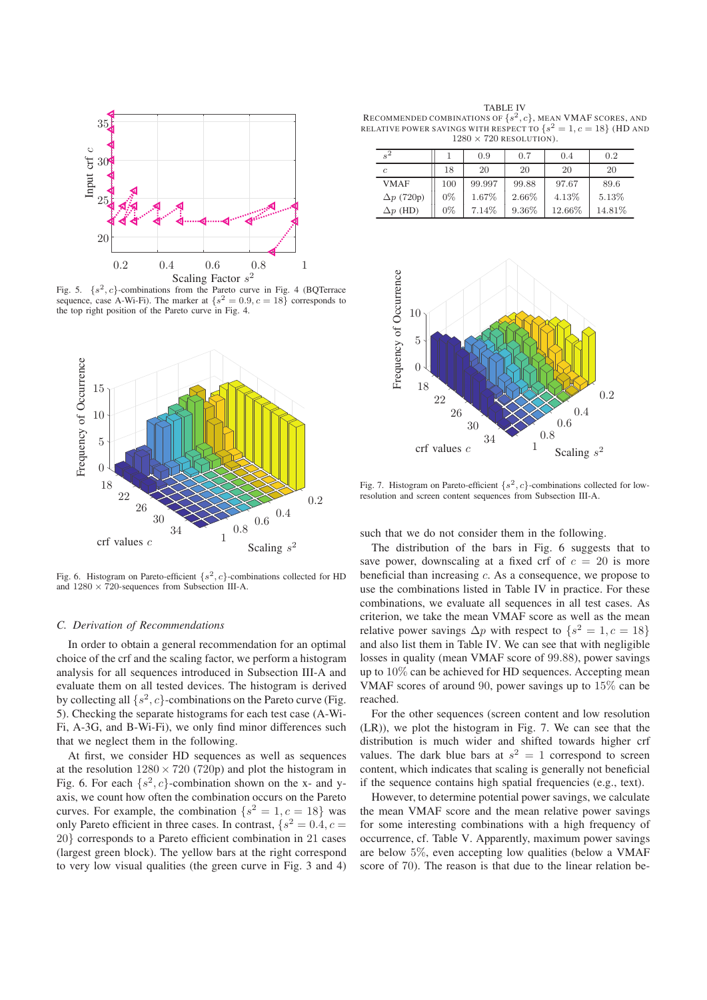

Fig. 5.  $\{s^2, c\}$ -combinations from the Pareto curve in Fig. 4 (BQTerrace sequence, case A-Wi-Fi). The marker at  $\{s^2 = 0.9, c = 18\}$  corresponds to the top right position of the Pareto curve in Fig. 4.



Fig. 6. Histogram on Pareto-efficient  $\{s^2, c\}$ -combinations collected for HD and  $1280 \times 720$ -sequences from Subsection III-A.

### *C. Derivation of Recommendations*

In order to obtain a general recommendation for an optimal choice of the crf and the scaling factor, we perform a histogram analysis for all sequences introduced in Subsection III-A and evaluate them on all tested devices. The histogram is derived by collecting all  $\{s^2, c\}$ -combinations on the Pareto curve (Fig. 5). Checking the separate histograms for each test case (A-Wi-Fi, A-3G, and B-Wi-Fi), we only find minor differences such that we neglect them in the following.

At first, we consider HD sequences as well as sequences at the resolution  $1280 \times 720$  (720p) and plot the histogram in Fig. 6. For each  $\{s^2, c\}$ -combination shown on the x- and yaxis, we count how often the combination occurs on the Pareto curves. For example, the combination  $\{s^2 = 1, c = 18\}$  was only Pareto efficient in three cases. In contrast,  $\{s^2 = 0.4, c =$ 20} corresponds to a Pareto efficient combination in 21 cases (largest green block). The yellow bars at the right correspond to very low visual qualities (the green curve in Fig. 3 and 4)

TABLE IV RECOMMENDED COMBINATIONS OF  $\{s^2, c\}$ , MEAN VMAF SCORES, AND RELATIVE POWER SAVINGS WITH RESPECT TO  $\{s^2 = 1, c = 18\}$  (HD AND  $1280 \times 720$  RESOLUTION).

| $s^2$             |       | 0.9    | 0.7      | 0.4    | 0.2    |
|-------------------|-------|--------|----------|--------|--------|
| $\mathcal{C}$     | 18    | 20     | 20       | 20     | 20     |
| <b>VMAF</b>       | 100   | 99.997 | 99.88    | 97.67  | 89.6   |
| $\Delta p$ (720p) | $0\%$ | 1.67%  | 2.66%    | 4.13%  | 5.13%  |
| $\Delta p$ (HD)   | $0\%$ | 7.14%  | $9.36\%$ | 12.66% | 14.81% |



Fig. 7. Histogram on Pareto-efficient  $\{s^2, c\}$ -combinations collected for lowresolution and screen content sequences from Subsection III-A.

such that we do not consider them in the following.

The distribution of the bars in Fig. 6 suggests that to save power, downscaling at a fixed crf of  $c = 20$  is more beneficial than increasing c. As a consequence, we propose to use the combinations listed in Table IV in practice. For these combinations, we evaluate all sequences in all test cases. As criterion, we take the mean VMAF score as well as the mean relative power savings  $\Delta p$  with respect to  $\{s^2 = 1, c = 18\}$ and also list them in Table IV. We can see that with negligible losses in quality (mean VMAF score of 99.88), power savings up to 10% can be achieved for HD sequences. Accepting mean VMAF scores of around 90, power savings up to 15% can be reached.

For the other sequences (screen content and low resolution (LR)), we plot the histogram in Fig. 7. We can see that the distribution is much wider and shifted towards higher crf values. The dark blue bars at  $s^2 = 1$  correspond to screen content, which indicates that scaling is generally not beneficial if the sequence contains high spatial frequencies (e.g., text).

However, to determine potential power savings, we calculate the mean VMAF score and the mean relative power savings for some interesting combinations with a high frequency of occurrence, cf. Table V. Apparently, maximum power savings are below 5%, even accepting low qualities (below a VMAF score of 70). The reason is that due to the linear relation be-